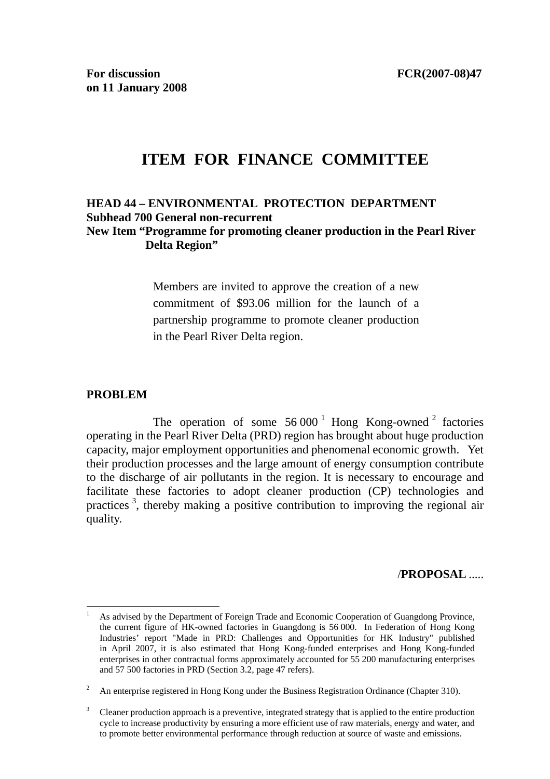# **ITEM FOR FINANCE COMMITTEE**

#### **HEAD 44 – ENVIRONMENTAL PROTECTION DEPARTMENT Subhead 700 General non-recurrent New Item "Programme for promoting cleaner production in the Pearl River Delta Region"**

Members are invited to approve the creation of a new commitment of \$93.06 million for the launch of a partnership programme to promote cleaner production in the Pearl River Delta region.

#### **PROBLEM**

The operation of some  $56\,000^{\,1}$  Hong Kong-owned<sup>2</sup> factories operating in the Pearl River Delta (PRD) region has brought about huge production capacity, major employment opportunities and phenomenal economic growth. Yet their production processes and the large amount of energy consumption contribute to the discharge of air pollutants in the region. It is necessary to encourage and facilitate these factories to adopt cleaner production (CP) technologies and practices<sup>3</sup>, thereby making a positive contribution to improving the regional air quality.

#### /**PROPOSAL** .....

 $\overline{a}$ 1 As advised by the Department of Foreign Trade and Economic Cooperation of Guangdong Province, the current figure of HK-owned factories in Guangdong is 56 000. In Federation of Hong Kong Industries' report "Made in PRD: Challenges and Opportunities for HK Industry" published in April 2007, it is also estimated that Hong Kong-funded enterprises and Hong Kong-funded enterprises in other contractual forms approximately accounted for 55 200 manufacturing enterprises and 57 500 factories in PRD (Section 3.2, page 47 refers).

<sup>2</sup> An enterprise registered in Hong Kong under the Business Registration Ordinance (Chapter 310).

<sup>3</sup> Cleaner production approach is a preventive, integrated strategy that is applied to the entire production cycle to increase productivity by ensuring a more efficient use of raw materials, energy and water, and to promote better environmental performance through reduction at source of waste and emissions.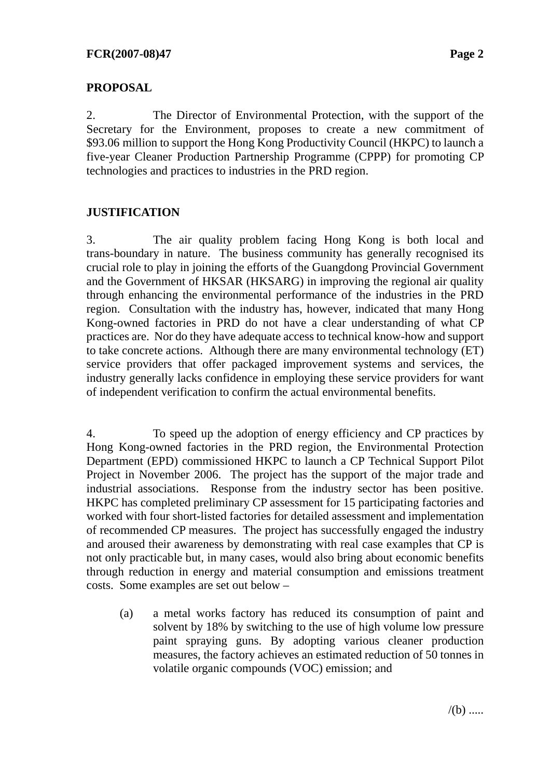#### **PROPOSAL**

2. The Director of Environmental Protection, with the support of the Secretary for the Environment, proposes to create a new commitment of \$93.06 million to support the Hong Kong Productivity Council (HKPC) to launch a five-year Cleaner Production Partnership Programme (CPPP) for promoting CP technologies and practices to industries in the PRD region.

#### **JUSTIFICATION**

3. The air quality problem facing Hong Kong is both local and trans-boundary in nature. The business community has generally recognised its crucial role to play in joining the efforts of the Guangdong Provincial Government and the Government of HKSAR (HKSARG) in improving the regional air quality through enhancing the environmental performance of the industries in the PRD region. Consultation with the industry has, however, indicated that many Hong Kong-owned factories in PRD do not have a clear understanding of what CP practices are. Nor do they have adequate access to technical know-how and support to take concrete actions. Although there are many environmental technology (ET) service providers that offer packaged improvement systems and services, the industry generally lacks confidence in employing these service providers for want of independent verification to confirm the actual environmental benefits.

4. To speed up the adoption of energy efficiency and CP practices by Hong Kong-owned factories in the PRD region, the Environmental Protection Department (EPD) commissioned HKPC to launch a CP Technical Support Pilot Project in November 2006. The project has the support of the major trade and industrial associations. Response from the industry sector has been positive. HKPC has completed preliminary CP assessment for 15 participating factories and worked with four short-listed factories for detailed assessment and implementation of recommended CP measures. The project has successfully engaged the industry and aroused their awareness by demonstrating with real case examples that CP is not only practicable but, in many cases, would also bring about economic benefits through reduction in energy and material consumption and emissions treatment costs. Some examples are set out below –

(a) a metal works factory has reduced its consumption of paint and solvent by 18% by switching to the use of high volume low pressure paint spraying guns. By adopting various cleaner production measures, the factory achieves an estimated reduction of 50 tonnes in volatile organic compounds (VOC) emission; and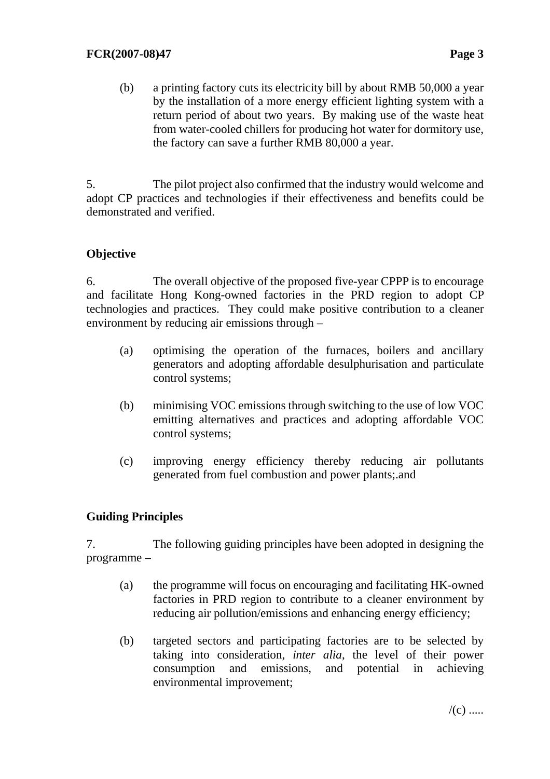(b) a printing factory cuts its electricity bill by about RMB 50,000 a year by the installation of a more energy efficient lighting system with a return period of about two years. By making use of the waste heat from water-cooled chillers for producing hot water for dormitory use, the factory can save a further RMB 80,000 a year.

5. The pilot project also confirmed that the industry would welcome and adopt CP practices and technologies if their effectiveness and benefits could be demonstrated and verified.

## **Objective**

6. The overall objective of the proposed five-year CPPP is to encourage and facilitate Hong Kong-owned factories in the PRD region to adopt CP technologies and practices. They could make positive contribution to a cleaner environment by reducing air emissions through –

- (a) optimising the operation of the furnaces, boilers and ancillary generators and adopting affordable desulphurisation and particulate control systems;
- (b) minimising VOC emissions through switching to the use of low VOC emitting alternatives and practices and adopting affordable VOC control systems;
- (c) improving energy efficiency thereby reducing air pollutants generated from fuel combustion and power plants;.and

## **Guiding Principles**

7. The following guiding principles have been adopted in designing the programme –

- (a) the programme will focus on encouraging and facilitating HK-owned factories in PRD region to contribute to a cleaner environment by reducing air pollution/emissions and enhancing energy efficiency;
- (b) targeted sectors and participating factories are to be selected by taking into consideration, *inter alia*, the level of their power consumption and emissions, and potential in achieving environmental improvement;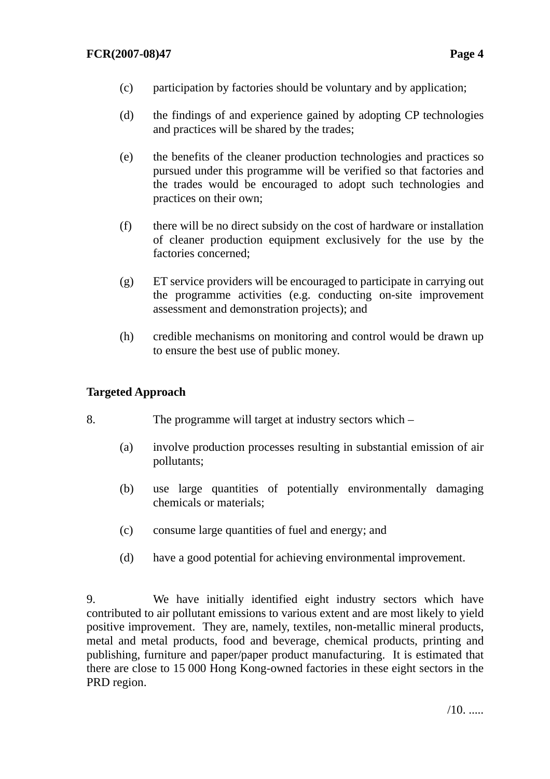- (c) participation by factories should be voluntary and by application;
- (d) the findings of and experience gained by adopting CP technologies and practices will be shared by the trades;
- (e) the benefits of the cleaner production technologies and practices so pursued under this programme will be verified so that factories and the trades would be encouraged to adopt such technologies and practices on their own;
- (f) there will be no direct subsidy on the cost of hardware or installation of cleaner production equipment exclusively for the use by the factories concerned;
- (g) ET service providers will be encouraged to participate in carrying out the programme activities (e.g. conducting on-site improvement assessment and demonstration projects); and
- (h) credible mechanisms on monitoring and control would be drawn up to ensure the best use of public money.

## **Targeted Approach**

- 8. The programme will target at industry sectors which
	- (a) involve production processes resulting in substantial emission of air pollutants;
	- (b) use large quantities of potentially environmentally damaging chemicals or materials;
	- (c) consume large quantities of fuel and energy; and
	- (d) have a good potential for achieving environmental improvement.

9. We have initially identified eight industry sectors which have contributed to air pollutant emissions to various extent and are most likely to yield positive improvement. They are, namely, textiles, non-metallic mineral products, metal and metal products, food and beverage, chemical products, printing and publishing, furniture and paper/paper product manufacturing. It is estimated that there are close to 15 000 Hong Kong-owned factories in these eight sectors in the PRD region.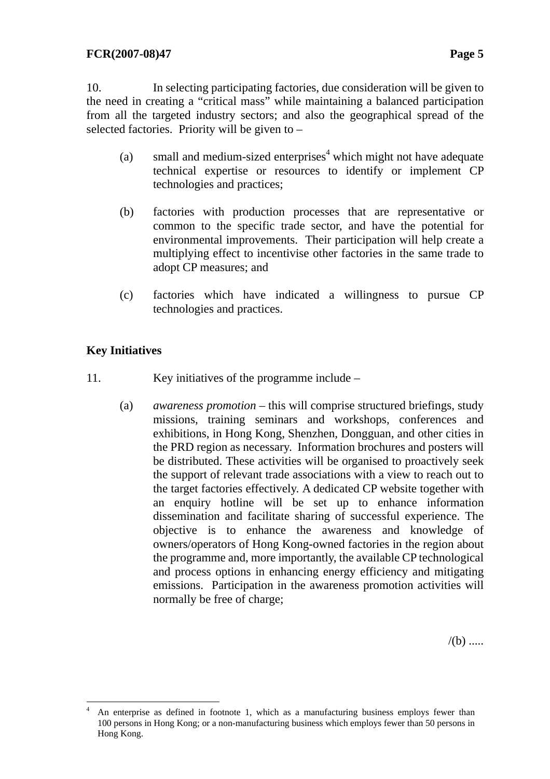10. In selecting participating factories, due consideration will be given to the need in creating a "critical mass" while maintaining a balanced participation from all the targeted industry sectors; and also the geographical spread of the selected factories. Priority will be given to –

- (a) small and medium-sized enterprises<sup>4</sup> which might not have adequate technical expertise or resources to identify or implement CP technologies and practices;
- (b) factories with production processes that are representative or common to the specific trade sector, and have the potential for environmental improvements. Their participation will help create a multiplying effect to incentivise other factories in the same trade to adopt CP measures; and
- (c) factories which have indicated a willingness to pursue CP technologies and practices.

## **Key Initiatives**

- 11. Key initiatives of the programme include
	- (a) *awareness promotion* this will comprise structured briefings, study missions, training seminars and workshops, conferences and exhibitions, in Hong Kong, Shenzhen, Dongguan, and other cities in the PRD region as necessary. Information brochures and posters will be distributed. These activities will be organised to proactively seek the support of relevant trade associations with a view to reach out to the target factories effectively. A dedicated CP website together with an enquiry hotline will be set up to enhance information dissemination and facilitate sharing of successful experience. The objective is to enhance the awareness and knowledge of owners/operators of Hong Kong-owned factories in the region about the programme and, more importantly, the available CP technological and process options in enhancing energy efficiency and mitigating emissions. Participation in the awareness promotion activities will normally be free of charge;

 $/(b)$  .....

 $\frac{1}{4}$  An enterprise as defined in footnote 1, which as a manufacturing business employs fewer than 100 persons in Hong Kong; or a non-manufacturing business which employs fewer than 50 persons in Hong Kong.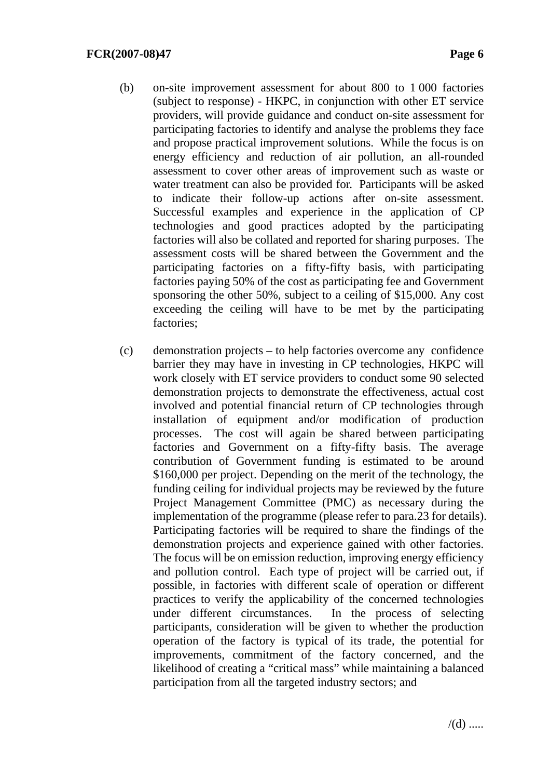- (b) on-site improvement assessment for about 800 to 1 000 factories (subject to response) - HKPC, in conjunction with other ET service providers, will provide guidance and conduct on-site assessment for participating factories to identify and analyse the problems they face and propose practical improvement solutions. While the focus is on energy efficiency and reduction of air pollution, an all-rounded assessment to cover other areas of improvement such as waste or water treatment can also be provided for. Participants will be asked to indicate their follow-up actions after on-site assessment. Successful examples and experience in the application of CP technologies and good practices adopted by the participating factories will also be collated and reported for sharing purposes. The assessment costs will be shared between the Government and the participating factories on a fifty-fifty basis, with participating factories paying 50% of the cost as participating fee and Government sponsoring the other 50%, subject to a ceiling of \$15,000. Any cost exceeding the ceiling will have to be met by the participating factories;
- (c) demonstration projects to help factories overcome any confidence barrier they may have in investing in CP technologies, HKPC will work closely with ET service providers to conduct some 90 selected demonstration projects to demonstrate the effectiveness, actual cost involved and potential financial return of CP technologies through installation of equipment and/or modification of production processes. The cost will again be shared between participating factories and Government on a fifty-fifty basis. The average contribution of Government funding is estimated to be around \$160,000 per project. Depending on the merit of the technology, the funding ceiling for individual projects may be reviewed by the future Project Management Committee (PMC) as necessary during the implementation of the programme (please refer to para.23 for details). Participating factories will be required to share the findings of the demonstration projects and experience gained with other factories. The focus will be on emission reduction, improving energy efficiency and pollution control. Each type of project will be carried out, if possible, in factories with different scale of operation or different practices to verify the applicability of the concerned technologies under different circumstances. In the process of selecting participants, consideration will be given to whether the production operation of the factory is typical of its trade, the potential for improvements, commitment of the factory concerned, and the likelihood of creating a "critical mass" while maintaining a balanced participation from all the targeted industry sectors; and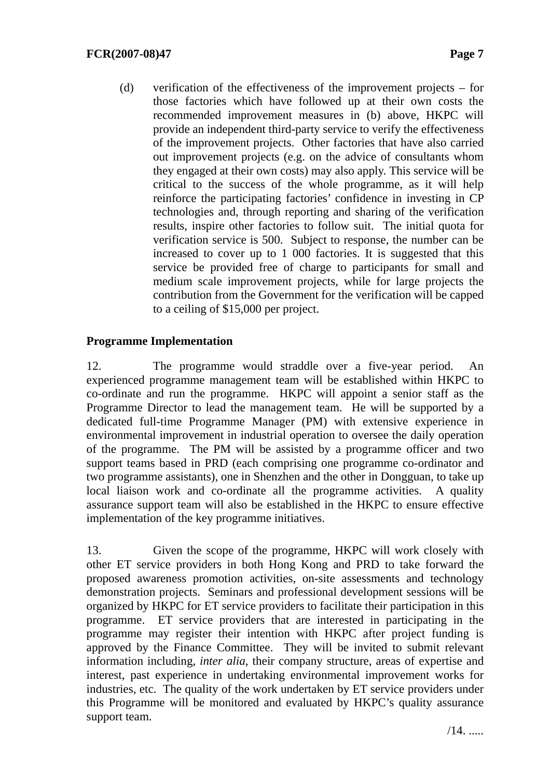(d) verification of the effectiveness of the improvement projects – for those factories which have followed up at their own costs the recommended improvement measures in (b) above, HKPC will provide an independent third-party service to verify the effectiveness of the improvement projects. Other factories that have also carried out improvement projects (e.g. on the advice of consultants whom they engaged at their own costs) may also apply. This service will be critical to the success of the whole programme, as it will help reinforce the participating factories' confidence in investing in CP technologies and, through reporting and sharing of the verification results, inspire other factories to follow suit. The initial quota for verification service is 500. Subject to response, the number can be increased to cover up to 1 000 factories. It is suggested that this service be provided free of charge to participants for small and medium scale improvement projects, while for large projects the contribution from the Government for the verification will be capped to a ceiling of \$15,000 per project.

#### **Programme Implementation**

12. The programme would straddle over a five-year period. An experienced programme management team will be established within HKPC to co-ordinate and run the programme. HKPC will appoint a senior staff as the Programme Director to lead the management team. He will be supported by a dedicated full-time Programme Manager (PM) with extensive experience in environmental improvement in industrial operation to oversee the daily operation of the programme. The PM will be assisted by a programme officer and two support teams based in PRD (each comprising one programme co-ordinator and two programme assistants), one in Shenzhen and the other in Dongguan, to take up local liaison work and co-ordinate all the programme activities. A quality assurance support team will also be established in the HKPC to ensure effective implementation of the key programme initiatives.

13. Given the scope of the programme, HKPC will work closely with other ET service providers in both Hong Kong and PRD to take forward the proposed awareness promotion activities, on-site assessments and technology demonstration projects. Seminars and professional development sessions will be organized by HKPC for ET service providers to facilitate their participation in this programme. ET service providers that are interested in participating in the programme may register their intention with HKPC after project funding is approved by the Finance Committee. They will be invited to submit relevant information including, *inter alia*, their company structure, areas of expertise and interest, past experience in undertaking environmental improvement works for industries, etc. The quality of the work undertaken by ET service providers under this Programme will be monitored and evaluated by HKPC's quality assurance support team.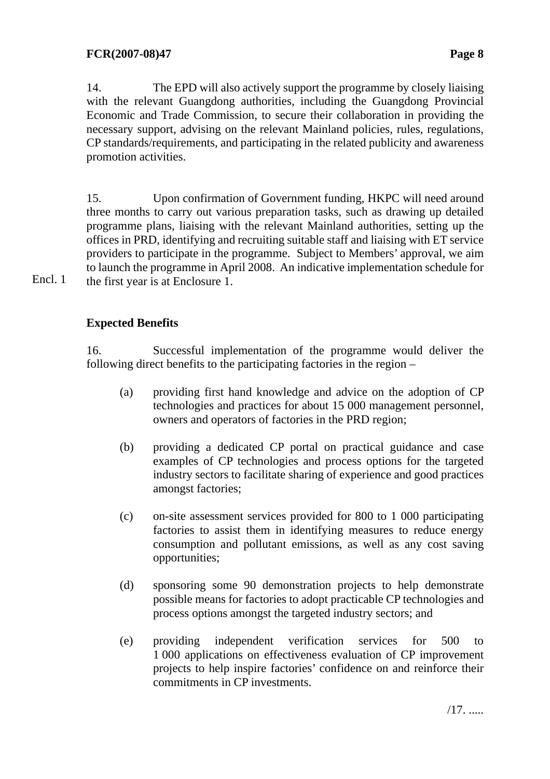14. The EPD will also actively support the programme by closely liaising with the relevant Guangdong authorities, including the Guangdong Provincial Economic and Trade Commission, to secure their collaboration in providing the necessary support, advising on the relevant Mainland policies, rules, regulations, CP standards/requirements, and participating in the related publicity and awareness promotion activities.

15. Upon confirmation of Government funding, HKPC will need around three months to carry out various preparation tasks, such as drawing up detailed programme plans, liaising with the relevant Mainland authorities, setting up the offices in PRD, identifying and recruiting suitable staff and liaising with ET service providers to participate in the programme. Subject to Members' approval, we aim to launch the programme in April 2008. An indicative implementation schedule for the first year is at Enclosure 1.

Encl. 1

## **Expected Benefits**

16. Successful implementation of the programme would deliver the following direct benefits to the participating factories in the region –

- (a) providing first hand knowledge and advice on the adoption of CP technologies and practices for about 15 000 management personnel, owners and operators of factories in the PRD region;
- (b) providing a dedicated CP portal on practical guidance and case examples of CP technologies and process options for the targeted industry sectors to facilitate sharing of experience and good practices amongst factories;
- (c) on-site assessment services provided for 800 to 1 000 participating factories to assist them in identifying measures to reduce energy consumption and pollutant emissions, as well as any cost saving opportunities;
- (d) sponsoring some 90 demonstration projects to help demonstrate possible means for factories to adopt practicable CP technologies and process options amongst the targeted industry sectors; and
- (e) providing independent verification services for 500 to 1 000 applications on effectiveness evaluation of CP improvement projects to help inspire factories' confidence on and reinforce their commitments in CP investments.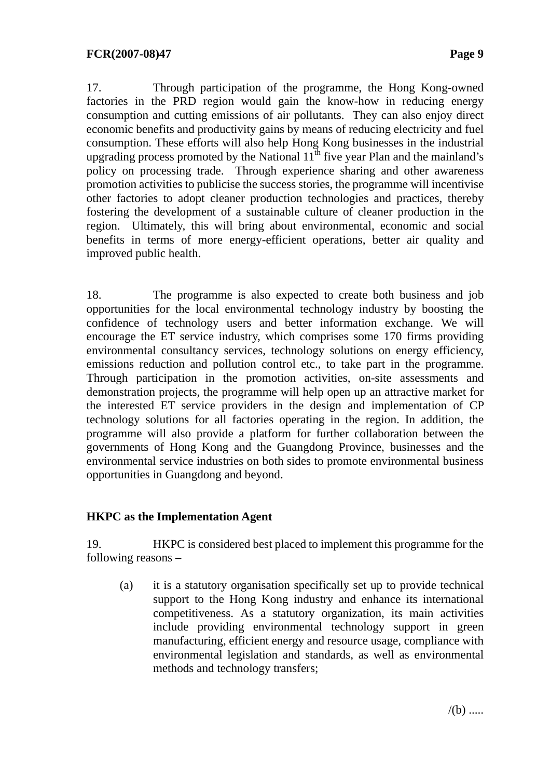17. Through participation of the programme, the Hong Kong-owned factories in the PRD region would gain the know-how in reducing energy consumption and cutting emissions of air pollutants. They can also enjoy direct economic benefits and productivity gains by means of reducing electricity and fuel consumption. These efforts will also help Hong Kong businesses in the industrial upgrading process promoted by the National  $11<sup>th</sup>$  five year Plan and the mainland's policy on processing trade. Through experience sharing and other awareness promotion activities to publicise the success stories, the programme will incentivise other factories to adopt cleaner production technologies and practices, thereby fostering the development of a sustainable culture of cleaner production in the region. Ultimately, this will bring about environmental, economic and social benefits in terms of more energy-efficient operations, better air quality and improved public health.

18. The programme is also expected to create both business and job opportunities for the local environmental technology industry by boosting the confidence of technology users and better information exchange. We will encourage the ET service industry, which comprises some 170 firms providing environmental consultancy services, technology solutions on energy efficiency, emissions reduction and pollution control etc., to take part in the programme. Through participation in the promotion activities, on-site assessments and demonstration projects, the programme will help open up an attractive market for the interested ET service providers in the design and implementation of CP technology solutions for all factories operating in the region. In addition, the programme will also provide a platform for further collaboration between the governments of Hong Kong and the Guangdong Province, businesses and the environmental service industries on both sides to promote environmental business opportunities in Guangdong and beyond.

## **HKPC as the Implementation Agent**

19. HKPC is considered best placed to implement this programme for the following reasons –

(a) it is a statutory organisation specifically set up to provide technical support to the Hong Kong industry and enhance its international competitiveness. As a statutory organization, its main activities include providing environmental technology support in green manufacturing, efficient energy and resource usage, compliance with environmental legislation and standards, as well as environmental methods and technology transfers;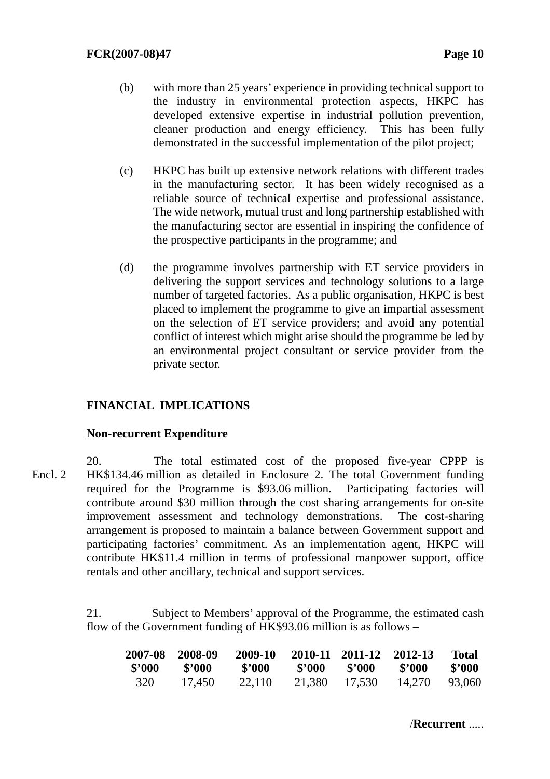- (b) with more than 25 years' experience in providing technical support to the industry in environmental protection aspects, HKPC has developed extensive expertise in industrial pollution prevention, cleaner production and energy efficiency. This has been fully demonstrated in the successful implementation of the pilot project;
- (c) HKPC has built up extensive network relations with different trades in the manufacturing sector. It has been widely recognised as a reliable source of technical expertise and professional assistance. The wide network, mutual trust and long partnership established with the manufacturing sector are essential in inspiring the confidence of the prospective participants in the programme; and
- (d) the programme involves partnership with ET service providers in delivering the support services and technology solutions to a large number of targeted factories. As a public organisation, HKPC is best placed to implement the programme to give an impartial assessment on the selection of ET service providers; and avoid any potential conflict of interest which might arise should the programme be led by an environmental project consultant or service provider from the private sector.

## **FINANCIAL IMPLICATIONS**

#### **Non-recurrent Expenditure**

20. The total estimated cost of the proposed five-year CPPP is HK\$134.46 million as detailed in Enclosure 2. The total Government funding required for the Programme is \$93.06 million. Participating factories will contribute around \$30 million through the cost sharing arrangements for on-site improvement assessment and technology demonstrations. The cost-sharing arrangement is proposed to maintain a balance between Government support and participating factories' commitment. As an implementation agent, HKPC will contribute HK\$11.4 million in terms of professional manpower support, office rentals and other ancillary, technical and support services. Encl. 2

> 21. Subject to Members' approval of the Programme, the estimated cash flow of the Government funding of HK\$93.06 million is as follows –

| 2007-08 | - 2008-09 | 2009-10 |        | 2010-11 2011-12 2012-13 |        | <b>Total</b> |
|---------|-----------|---------|--------|-------------------------|--------|--------------|
| \$2000  | \$'000    | \$2000  | \$'000 | \$'000                  | \$'000 | - \$'000     |
| 320     | 17,450    | 22,110  | 21,380 | 17,530                  | 14,270 | 93,060       |

/**Recurrent** .....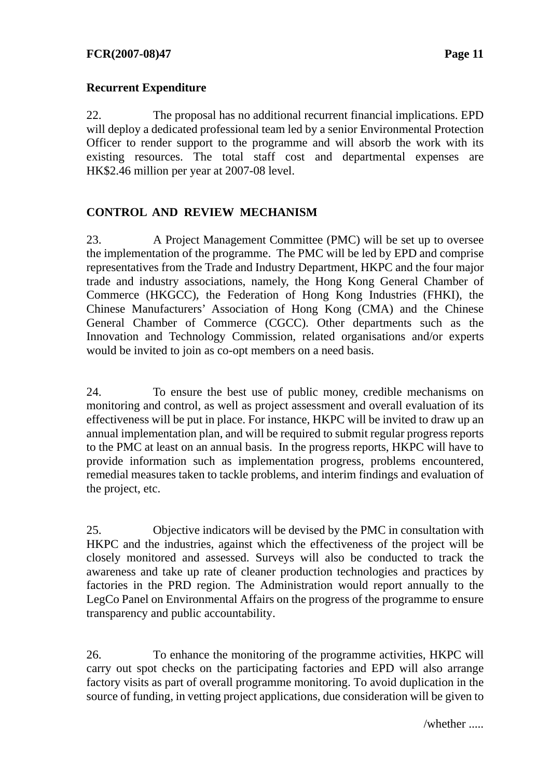## **Recurrent Expenditure**

22. The proposal has no additional recurrent financial implications. EPD will deploy a dedicated professional team led by a senior Environmental Protection Officer to render support to the programme and will absorb the work with its existing resources. The total staff cost and departmental expenses are HK\$2.46 million per year at 2007-08 level.

## **CONTROL AND REVIEW MECHANISM**

23. A Project Management Committee (PMC) will be set up to oversee the implementation of the programme. The PMC will be led by EPD and comprise representatives from the Trade and Industry Department, HKPC and the four major trade and industry associations, namely, the Hong Kong General Chamber of Commerce (HKGCC), the Federation of Hong Kong Industries (FHKI), the Chinese Manufacturers' Association of Hong Kong (CMA) and the Chinese General Chamber of Commerce (CGCC). Other departments such as the Innovation and Technology Commission, related organisations and/or experts would be invited to join as co-opt members on a need basis.

24. To ensure the best use of public money, credible mechanisms on monitoring and control, as well as project assessment and overall evaluation of its effectiveness will be put in place. For instance, HKPC will be invited to draw up an annual implementation plan, and will be required to submit regular progress reports to the PMC at least on an annual basis. In the progress reports, HKPC will have to provide information such as implementation progress, problems encountered, remedial measures taken to tackle problems, and interim findings and evaluation of the project, etc.

25. Objective indicators will be devised by the PMC in consultation with HKPC and the industries, against which the effectiveness of the project will be closely monitored and assessed. Surveys will also be conducted to track the awareness and take up rate of cleaner production technologies and practices by factories in the PRD region. The Administration would report annually to the LegCo Panel on Environmental Affairs on the progress of the programme to ensure transparency and public accountability.

26. To enhance the monitoring of the programme activities, HKPC will carry out spot checks on the participating factories and EPD will also arrange factory visits as part of overall programme monitoring. To avoid duplication in the source of funding, in vetting project applications, due consideration will be given to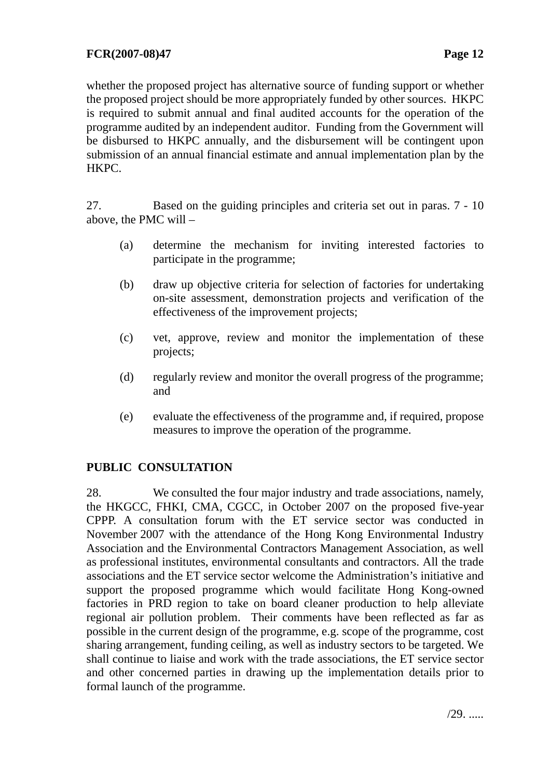whether the proposed project has alternative source of funding support or whether the proposed project should be more appropriately funded by other sources. HKPC is required to submit annual and final audited accounts for the operation of the programme audited by an independent auditor. Funding from the Government will be disbursed to HKPC annually, and the disbursement will be contingent upon submission of an annual financial estimate and annual implementation plan by the HKPC.

27. Based on the guiding principles and criteria set out in paras. 7 - 10 above, the PMC will –

- (a) determine the mechanism for inviting interested factories to participate in the programme;
- (b) draw up objective criteria for selection of factories for undertaking on-site assessment, demonstration projects and verification of the effectiveness of the improvement projects;
- (c) vet, approve, review and monitor the implementation of these projects;
- (d) regularly review and monitor the overall progress of the programme; and
- (e) evaluate the effectiveness of the programme and, if required, propose measures to improve the operation of the programme.

## **PUBLIC CONSULTATION**

28. We consulted the four major industry and trade associations, namely, the HKGCC, FHKI, CMA, CGCC, in October 2007 on the proposed five-year CPPP. A consultation forum with the ET service sector was conducted in November 2007 with the attendance of the Hong Kong Environmental Industry Association and the Environmental Contractors Management Association, as well as professional institutes, environmental consultants and contractors. All the trade associations and the ET service sector welcome the Administration's initiative and support the proposed programme which would facilitate Hong Kong-owned factories in PRD region to take on board cleaner production to help alleviate regional air pollution problem. Their comments have been reflected as far as possible in the current design of the programme, e.g. scope of the programme, cost sharing arrangement, funding ceiling, as well as industry sectors to be targeted. We shall continue to liaise and work with the trade associations, the ET service sector and other concerned parties in drawing up the implementation details prior to formal launch of the programme.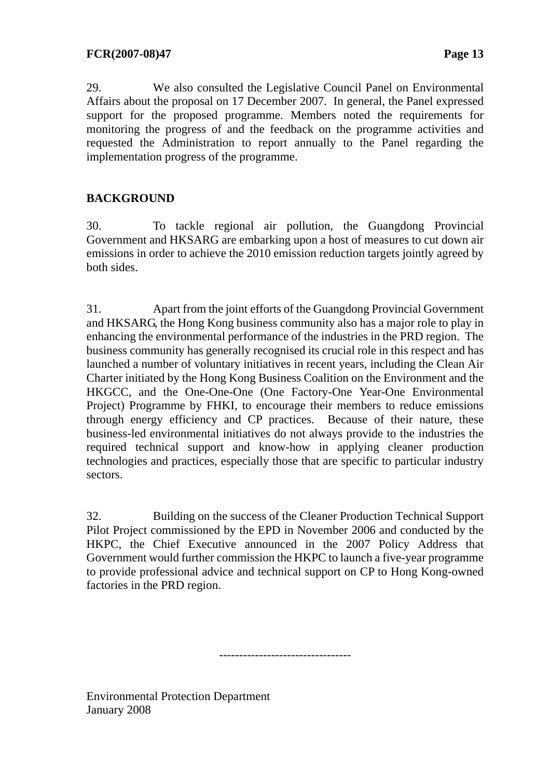29. We also consulted the Legislative Council Panel on Environmental Affairs about the proposal on 17 December 2007. In general, the Panel expressed support for the proposed programme. Members noted the requirements for monitoring the progress of and the feedback on the programme activities and requested the Administration to report annually to the Panel regarding the implementation progress of the programme.

## **BACKGROUND**

30. To tackle regional air pollution, the Guangdong Provincial Government and HKSARG are embarking upon a host of measures to cut down air emissions in order to achieve the 2010 emission reduction targets jointly agreed by both sides.

31. Apart from the joint efforts of the Guangdong Provincial Government and HKSARG, the Hong Kong business community also has a major role to play in enhancing the environmental performance of the industries in the PRD region. The business community has generally recognised its crucial role in this respect and has launched a number of voluntary initiatives in recent years, including the Clean Air Charter initiated by the Hong Kong Business Coalition on the Environment and the HKGCC, and the One-One-One (One Factory-One Year-One Environmental Project) Programme by FHKI, to encourage their members to reduce emissions through energy efficiency and CP practices. Because of their nature, these business-led environmental initiatives do not always provide to the industries the required technical support and know-how in applying cleaner production technologies and practices, especially those that are specific to particular industry sectors.

32. Building on the success of the Cleaner Production Technical Support Pilot Project commissioned by the EPD in November 2006 and conducted by the HKPC, the Chief Executive announced in the 2007 Policy Address that Government would further commission the HKPC to launch a five-year programme to provide professional advice and technical support on CP to Hong Kong-owned factories in the PRD region.

---------------------------------

Environmental Protection Department January 2008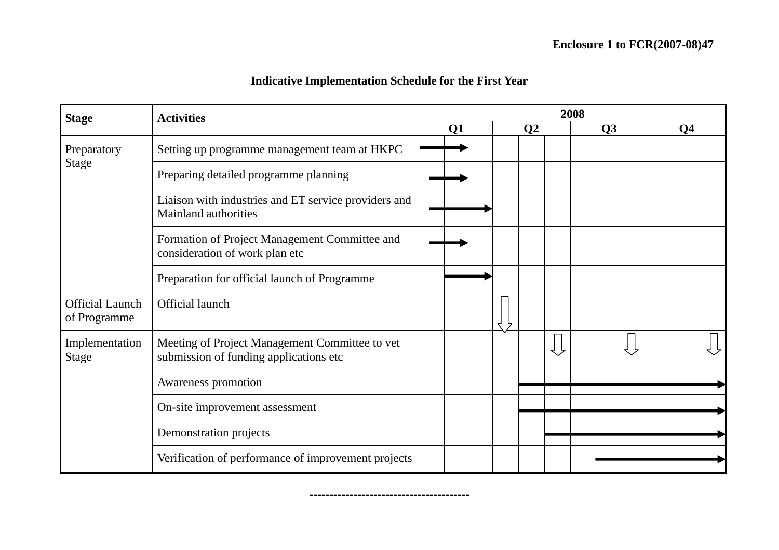# **Indicative Implementation Schedule for the First Year**

| <b>Stage</b>                           | <b>Activities</b>                                                                        | 2008 |                |  |  |                |  |  |    |    |  |                |  |
|----------------------------------------|------------------------------------------------------------------------------------------|------|----------------|--|--|----------------|--|--|----|----|--|----------------|--|
|                                        |                                                                                          |      | Q <sub>1</sub> |  |  | Q <sub>2</sub> |  |  | Q3 |    |  | Q <sub>4</sub> |  |
| Preparatory<br><b>Stage</b>            | Setting up programme management team at HKPC                                             |      |                |  |  |                |  |  |    |    |  |                |  |
|                                        | Preparing detailed programme planning                                                    |      |                |  |  |                |  |  |    |    |  |                |  |
|                                        | Liaison with industries and ET service providers and<br>Mainland authorities             |      |                |  |  |                |  |  |    |    |  |                |  |
|                                        | Formation of Project Management Committee and<br>consideration of work plan etc          |      |                |  |  |                |  |  |    |    |  |                |  |
|                                        | Preparation for official launch of Programme                                             |      |                |  |  |                |  |  |    |    |  |                |  |
| <b>Official Launch</b><br>of Programme | Official launch                                                                          |      |                |  |  |                |  |  |    |    |  |                |  |
| Implementation<br><b>Stage</b>         | Meeting of Project Management Committee to vet<br>submission of funding applications etc |      |                |  |  |                |  |  |    | くし |  |                |  |
|                                        | Awareness promotion                                                                      |      |                |  |  |                |  |  |    |    |  |                |  |
|                                        | On-site improvement assessment                                                           |      |                |  |  |                |  |  |    |    |  |                |  |
|                                        | Demonstration projects                                                                   |      |                |  |  |                |  |  |    |    |  |                |  |
|                                        | Verification of performance of improvement projects                                      |      |                |  |  |                |  |  |    |    |  |                |  |

----------------------------------------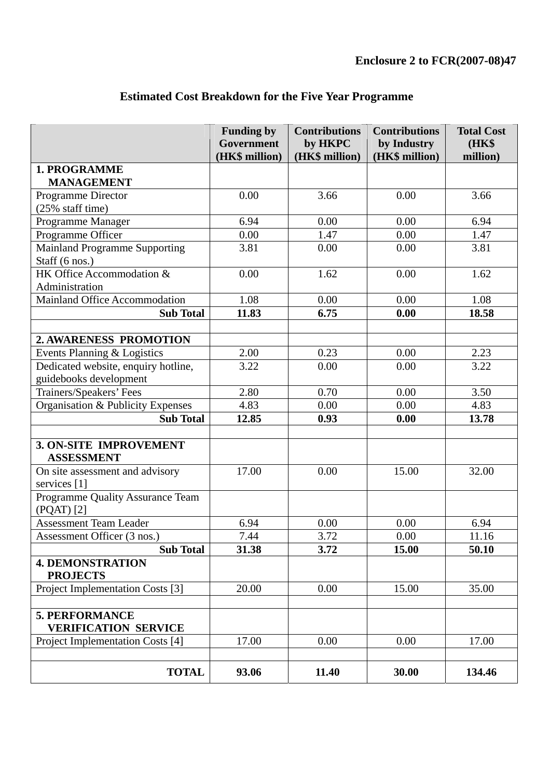|                                               | <b>Funding by</b><br>Government | <b>Contributions</b><br>by HKPC | <b>Contributions</b><br>by Industry | <b>Total Cost</b><br><b>(HK\$)</b> |
|-----------------------------------------------|---------------------------------|---------------------------------|-------------------------------------|------------------------------------|
|                                               | (HK\$ million)                  | (HK\$ million)                  | (HK\$ million)                      | million)                           |
| 1. PROGRAMME                                  |                                 |                                 |                                     |                                    |
| <b>MANAGEMENT</b>                             |                                 |                                 |                                     |                                    |
| Programme Director                            | 0.00                            | 3.66                            | 0.00                                | 3.66                               |
| (25% staff time)                              |                                 |                                 |                                     |                                    |
| Programme Manager                             | 6.94                            | 0.00                            | 0.00                                | 6.94                               |
| Programme Officer                             | 0.00                            | 1.47                            | 0.00                                | 1.47                               |
| <b>Mainland Programme Supporting</b>          | 3.81                            | 0.00                            | 0.00                                | 3.81                               |
| Staff (6 nos.)                                |                                 |                                 |                                     |                                    |
| HK Office Accommodation &                     | 0.00                            | 1.62                            | 0.00                                | 1.62                               |
| Administration                                |                                 |                                 |                                     |                                    |
| Mainland Office Accommodation                 | 1.08                            | 0.00                            | 0.00                                | 1.08                               |
| <b>Sub Total</b>                              | 11.83                           | 6.75                            | 0.00                                | 18.58                              |
|                                               |                                 |                                 |                                     |                                    |
| 2. AWARENESS PROMOTION                        |                                 |                                 |                                     |                                    |
| Events Planning & Logistics                   | 2.00                            | 0.23                            | 0.00                                | 2.23                               |
| Dedicated website, enquiry hotline,           | 3.22                            | 0.00                            | 0.00                                | 3.22                               |
| guidebooks development                        |                                 |                                 |                                     |                                    |
| Trainers/Speakers' Fees                       | 2.80                            | 0.70                            | 0.00                                | 3.50                               |
| Organisation & Publicity Expenses             | 4.83                            | 0.00                            | 0.00                                | 4.83                               |
| <b>Sub Total</b>                              | 12.85                           | 0.93                            | 0.00                                | 13.78                              |
|                                               |                                 |                                 |                                     |                                    |
| <b>3. ON-SITE IMPROVEMENT</b>                 |                                 |                                 |                                     |                                    |
| <b>ASSESSMENT</b>                             |                                 |                                 |                                     |                                    |
| On site assessment and advisory               | 17.00                           | 0.00                            | 15.00                               | 32.00                              |
| services [1]                                  |                                 |                                 |                                     |                                    |
| Programme Quality Assurance Team              |                                 |                                 |                                     |                                    |
| $(PQAT)$ [2]                                  |                                 |                                 |                                     |                                    |
| <b>Assessment Team Leader</b>                 | 6.94                            | 0.00                            | 0.00                                | 6.94                               |
| Assessment Officer (3 nos.)                   | 7.44                            | 3.72                            | $0.00\,$                            | 11.16                              |
| <b>Sub Total</b>                              | 31.38                           | 3.72                            | 15.00                               | 50.10                              |
| <b>4. DEMONSTRATION</b><br><b>PROJECTS</b>    |                                 |                                 |                                     |                                    |
| Project Implementation Costs [3]              | 20.00                           | 0.00                            | 15.00                               | 35.00                              |
|                                               |                                 |                                 |                                     |                                    |
| 5. PERFORMANCE<br><b>VERIFICATION SERVICE</b> |                                 |                                 |                                     |                                    |
| Project Implementation Costs [4]              | 17.00                           | 0.00                            | 0.00                                | 17.00                              |
|                                               |                                 |                                 |                                     |                                    |
| <b>TOTAL</b>                                  | 93.06                           | 11.40                           | 30.00                               | 134.46                             |

# **Estimated Cost Breakdown for the Five Year Programme**